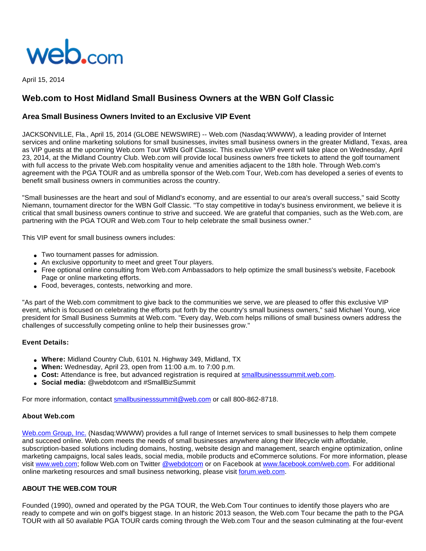

April 15, 2014

# **Web.com to Host Midland Small Business Owners at the WBN Golf Classic**

## **Area Small Business Owners Invited to an Exclusive VIP Event**

JACKSONVILLE, Fla., April 15, 2014 (GLOBE NEWSWIRE) -- Web.com (Nasdaq:WWWW), a leading provider of Internet services and online marketing solutions for small businesses, invites small business owners in the greater Midland, Texas, area as VIP guests at the upcoming Web.com Tour WBN Golf Classic. This exclusive VIP event will take place on Wednesday, April 23, 2014, at the Midland Country Club. Web.com will provide local business owners free tickets to attend the golf tournament with full access to the private Web.com hospitality venue and amenities adjacent to the 18th hole. Through Web.com's agreement with the PGA TOUR and as umbrella sponsor of the Web.com Tour, Web.com has developed a series of events to benefit small business owners in communities across the country.

"Small businesses are the heart and soul of Midland's economy, and are essential to our area's overall success," said Scotty Niemann, tournament director for the WBN Golf Classic. "To stay competitive in today's business environment, we believe it is critical that small business owners continue to strive and succeed. We are grateful that companies, such as the Web.com, are partnering with the PGA TOUR and Web.com Tour to help celebrate the small business owner."

This VIP event for small business owners includes:

- Two tournament passes for admission.
- An exclusive opportunity to meet and greet Tour players.
- Free optional online consulting from Web.com Ambassadors to help optimize the small business's website, Facebook Page or online marketing efforts.
- Food, beverages, contests, networking and more.

"As part of the Web.com commitment to give back to the communities we serve, we are pleased to offer this exclusive VIP event, which is focused on celebrating the efforts put forth by the country's small business owners," said Michael Young, vice president for Small Business Summits at Web.com. "Every day, Web.com helps millions of small business owners address the challenges of successfully competing online to help their businesses grow."

#### **Event Details:**

- **Where:** Midland Country Club, 6101 N. Highway 349, Midland, TX
- **When:** Wednesday, April 23, open from 11:00 a.m. to 7:00 p.m.
- Cost: Attendance is free, but advanced registration is required at [smallbusinesssummit.web.com](http://www.globenewswire.com/newsroom/ctr?d=10076849&l=5&a=smallbusinesssummit.web.com&u=http%3A%2F%2Fsmallbusinesssummit.web.com%2F).
- **Social media:** @webdotcom and #SmallBizSummit

For more information, contact [smallbusinesssummit@web.com](http://www.globenewswire.com/newsroom/ctr?d=10076849&l=6&a=smallbusinesssummit%40web.com&u=mailto%3Asmallbusinesssummit%40web.com) or call 800-862-8718.

#### **About Web.com**

[Web.com Group, Inc.](http://www.globenewswire.com/newsroom/ctr?d=10076849&l=8&a=Web.com%20Group%2C%20Inc.&u=http%3A%2F%2Fwww.web.com%2F) (Nasdaq:WWWW) provides a full range of Internet services to small businesses to help them compete and succeed online. Web.com meets the needs of small businesses anywhere along their lifecycle with affordable, subscription-based solutions including domains, hosting, website design and management, search engine optimization, online marketing campaigns, local sales leads, social media, mobile products and eCommerce solutions. For more information, please visit [www.web.com](http://www.web.com/); follow Web.com on Twitter [@webdotcom](http://www.globenewswire.com/newsroom/ctr?d=10076849&l=8&a=%40webdotcom&u=https%3A%2F%2Ftwitter.com%2Fwebdotcom) or on Facebook at [www.facebook.com/web.com.](http://www.facebook.com/web.com) For additional online marketing resources and small business networking, please visit [forum.web.com](http://www.globenewswire.com/newsroom/ctr?d=10076849&l=8&a=forum.web.com&u=https%3A%2F%2Fforum.web.com%2F).

### **ABOUT THE WEB.COM TOUR**

Founded (1990), owned and operated by the PGA TOUR, the Web.Com Tour continues to identify those players who are ready to compete and win on golf's biggest stage. In an historic 2013 season, the Web.com Tour became the path to the PGA TOUR with all 50 available PGA TOUR cards coming through the Web.com Tour and the season culminating at the four-event